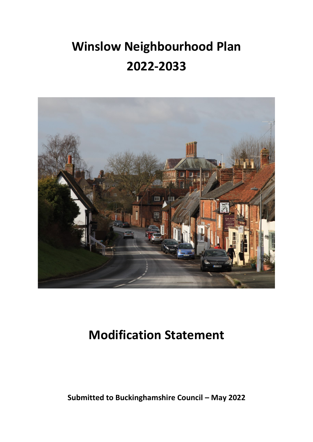# **Winslow Neighbourhood Plan 2022-2033**



## **Modification Statement**

**Submitted to Buckinghamshire Council – May 2022**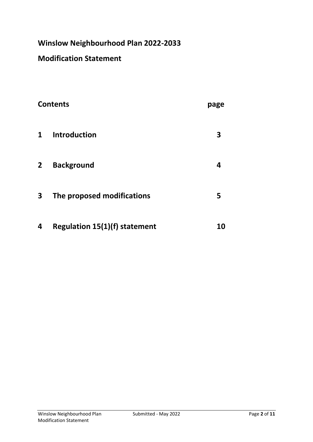## **Winslow Neighbourhood Plan 2022-2033**

## **Modification Statement**

| <b>Contents</b> |                                      | page      |
|-----------------|--------------------------------------|-----------|
| $\mathbf{1}$    | <b>Introduction</b>                  | 3         |
| $\mathbf{2}$    | <b>Background</b>                    | 4         |
| 3               | The proposed modifications           | 5         |
| 4               | <b>Regulation 15(1)(f) statement</b> | <b>10</b> |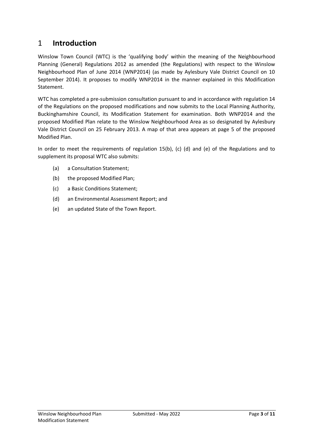### 1 **Introduction**

Winslow Town Council (WTC) is the 'qualifying body' within the meaning of the Neighbourhood Planning (General) Regulations 2012 as amended (the Regulations) with respect to the Winslow Neighbourhood Plan of June 2014 (WNP2014) (as made by Aylesbury Vale District Council on 10 September 2014). It proposes to modify WNP2014 in the manner explained in this Modification Statement.

WTC has completed a pre-submission consultation pursuant to and in accordance with regulation 14 of the Regulations on the proposed modifications and now submits to the Local Planning Authority, Buckinghamshire Council, its Modification Statement for examination. Both WNP2014 and the proposed Modified Plan relate to the Winslow Neighbourhood Area as so designated by Aylesbury Vale District Council on 25 February 2013. A map of that area appears at page 5 of the proposed Modified Plan.

In order to meet the requirements of regulation 15(b), (c) (d) and (e) of the Regulations and to supplement its proposal WTC also submits:

- (a) a Consultation Statement;
- (b) the proposed Modified Plan;
- (c) a Basic Conditions Statement;
- (d) an Environmental Assessment Report; and
- (e) an updated State of the Town Report.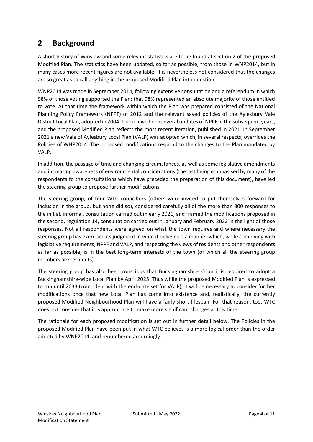## **2 Background**

A short history of Winslow and some relevant statistics are to be found at section 2 of the proposed Modified Plan. The statistics have been updated, so far as possible, from those in WNP2014, but in many cases more recent figures are not available. It is nevertheless not considered that the changes are so great as to call anything in the proposed Modified Plan into question.

WNP2014 was made in September 2014, following extensive consultation and a referendum in which 98% of those voting supported the Plan; that 98% represented an absolute majority of those entitled to vote. At that time the framework within which the Plan was prepared consisted of the National Planning Policy Framework (NPPF) of 2012 and the relevant saved policies of the Aylesbury Vale District Local Plan, adopted in 2004. There have been several updates of NPPF in the subsequent years, and the proposed Modified Plan reflects the most recent iteration, published in 2021. In September 2021 a new Vale of Aylesbury Local Plan (VALP) was adopted which, in several respects, overrides the Policies of WNP2014. The proposed modifications respond to the changes to the Plan mandated by VALP.

In addition, the passage of time and changing circumstances, as well as some legislative amendments and increasing awareness of environmental considerations (the last being emphasised by many of the respondents to the consultations which have preceded the preparation of this document), have led the steering group to propose further modifications.

The steering group, of four WTC councillors (others were invited to put themselves forward for inclusion in the group, but none did so), considered carefully all of the more than 300 responses to the initial, informal, consultation carried out in early 2021, and framed the modifications proposed in the second, regulation 14, consultation carried out in January and February 2022 in the light of those responses. Not all respondents were agreed on what the town requires and where necessary the steering group has exercised its judgment in what it believes is a manner which, while complying with legislative requirements, NPPF and VALP, and respecting the views of residents and other respondents as far as possible, is in the best long-term interests of the town (of which all the steering group members are residents).

The steering group has also been conscious that Buckinghamshire Council is required to adopt a Buckinghamshire-wide Local Plan by April 2025. Thus while the proposed Modified Plan is expressed to run until 2033 (coincident with the end-date set for VALP), it will be necessary to consider further modifications once that new Local Plan has come into existence and, realistically, the currently proposed Modified Neighbourhood Plan will have a fairly short lifespan. For that reason, too, WTC does not consider that it is appropriate to make more significant changes at this time.

The rationale for each proposed modification is set out in further detail below. The Policies in the proposed Modified Plan have been put in what WTC believes is a more logical order than the order adopted by WNP2014, and renumbered accordingly.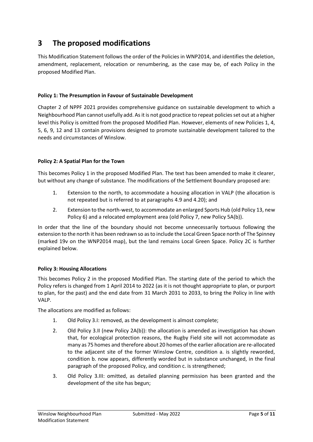## **3 The proposed modifications**

This Modification Statement follows the order of the Policies in WNP2014, and identifies the deletion, amendment, replacement, relocation or renumbering, as the case may be, of each Policy in the proposed Modified Plan.

#### **Policy 1: The Presumption in Favour of Sustainable Development**

Chapter 2 of NPPF 2021 provides comprehensive guidance on sustainable development to which a Neighbourhood Plan cannot usefully add. As it is not good practice to repeat policies set out at a higher level this Policy is omitted from the proposed Modified Plan. However, elements of new Policies 1, 4, 5, 6, 9, 12 and 13 contain provisions designed to promote sustainable development tailored to the needs and circumstances of Winslow.

#### **Policy 2: A Spatial Plan for the Town**

This becomes Policy 1 in the proposed Modified Plan. The text has been amended to make it clearer, but without any change of substance. The modifications of the Settlement Boundary proposed are:

- 1. Extension to the north, to accommodate a housing allocation in VALP (the allocation is not repeated but is referred to at paragraphs 4.9 and 4.20); and
- 2. Extension to the north-west, to accommodate an enlarged Sports Hub (old Policy 13, new Policy 6) and a relocated employment area (old Policy 7, new Policy 5A(b)).

In order that the line of the boundary should not become unnecessarily tortuous following the extension to the north it has been redrawn so as to include the Local Green Space north of The Spinney (marked 19v on the WNP2014 map), but the land remains Local Green Space. Policy 2C is further explained below.

#### **Policy 3: Housing Allocations**

This becomes Policy 2 in the proposed Modified Plan. The starting date of the period to which the Policy refers is changed from 1 April 2014 to 2022 (as it is not thought appropriate to plan, or purport to plan, for the past) and the end date from 31 March 2031 to 2033, to bring the Policy in line with VALP.

The allocations are modified as follows:

- 1. Old Policy 3.I: removed, as the development is almost complete;
- 2. Old Policy 3.II (new Policy 2A(b)): the allocation is amended as investigation has shown that, for ecological protection reasons, the Rugby Field site will not accommodate as many as 75 homes and therefore about 20 homes of the earlier allocation are re-allocated to the adjacent site of the former Winslow Centre, condition a. is slightly reworded, condition b. now appears, differently worded but in substance unchanged, in the final paragraph of the proposed Policy, and condition c. is strengthened;
- 3. Old Policy 3.III: omitted, as detailed planning permission has been granted and the development of the site has begun;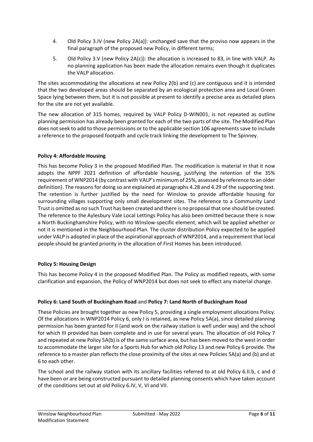- 4. Old Policy 3.IV (new Policy 2A(a)): unchanged save that the proviso now appears in the final paragraph of the proposed new Policy, in different terms;
- 5. Old Policy 3.V (new Policy 2A(c)): the allocation is increased to 83, in line with VALP. As no planning application has been made the allocation remains even though it duplicates the VALP allocation.

The sites accommodating the allocations at new Policy 2(b) and (c) are contiguous and it is intended that the two developed areas should be separated by an ecological protection area and Local Green Space lying between them, but it is not possible at present to identify a precise area as detailed plans for the site are not yet available.

The new allocation of 315 homes, required by VALP Policy D-WIN001, is not repeated as outline planning permission has already been granted for each of the two parts of the site. The Modified Plan does not seek to add to those permissions or to the applicable section 106 agreements save to include a reference to the proposed footpath and cycle track linking the development to The Spinney.

#### **Policy 4: Affordable Housing**

This has become Policy 3 in the proposed Modified Plan. The modification is material in that it now adopts the NPPF 2021 definition of affordable housing, justifying the retention of the 35% requirement of WNP2014 (by contrast with VALP's minimum of 25%, assessed by reference to an older definition). The reasons for doing so are explained at paragraphs 4.28 and 4.29 of the supporting text. The retention is further justified by the need for Winslow to provide affordable housing for surrounding villages supporting only small development sites. The reference to a Community Land Trust is omitted as no such Trust has been created and there is no proposal that one should be created. The reference to the Aylesbury Vale Local Lettings Policy has also been omitted because there is now a North Buckinghamshire Policy, with no Winslow-specific element, which will be applied whether or not it is mentioned in the Neighbourhood Plan. The cluster distribution Policy expected to be applied under VALP is adopted in place of the aspirational approach of WNP2014, and a requirement that local people should be granted priority in the allocation of First Homes has been introduced.

#### **Policy 5: Housing Design**

This has become Policy 4 in the proposed Modified Plan. The Policy as modified repeats, with some clarification and expansion, the Policy of WNP2014 but does not seek to effect any material change.

#### **Policy 6: Land South of Buckingham Road** and **Policy 7: Land North of Buckingham Road**

These Policies are brought together as new Policy 5, providing a single employment allocations Policy. Of the allocations in WNP2014 Policy 6, only I is retained, as new Policy 5A(a), since detailed planning permission has been granted for II (and work on the railway station is well under way) and the school for which III provided has been complete and in use for several years. The allocation of old Policy 7 and repeated at new Policy 5A(b) is of the same surface area, but has been moved to the west in order to accommodate the larger site for a Sports Hub for which old Policy 13 and new Policy 6 provide. The reference to a master plan reflects the close proximity of the sites at new Policies 5A(a) and (b) and at 6 to each other.

The school and the railway station with its ancillary facilities referred to at old Policy 6.II.b, c and d have been or are being constructed pursuant to detailed planning consents which have taken account of the conditions set out at old Policy 6.IV, V, VI and VII.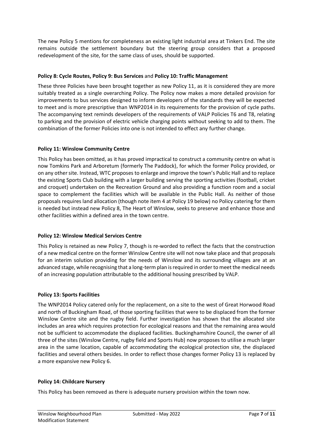The new Policy 5 mentions for completeness an existing light industrial area at Tinkers End. The site remains outside the settlement boundary but the steering group considers that a proposed redevelopment of the site, for the same class of uses, should be supported.

#### **Policy 8: Cycle Routes, Policy 9: Bus Services** and **Policy 10: Traffic Management**

These three Policies have been brought together as new Policy 11, as it is considered they are more suitably treated as a single overarching Policy. The Policy now makes a more detailed provision for improvements to bus services designed to inform developers of the standards they will be expected to meet and is more prescriptive than WNP2014 in its requirements for the provision of cycle paths. The accompanying text reminds developers of the requirements of VALP Policies T6 and T8, relating to parking and the provision of electric vehicle charging points without seeking to add to them. The combination of the former Policies into one is not intended to effect any further change.

#### **Policy 11: Winslow Community Centre**

This Policy has been omitted, as it has proved impractical to construct a community centre on what is now Tomkins Park and Arboretum (formerly The Paddock), for which the former Policy provided, or on any other site. Instead, WTC proposes to enlarge and improve the town's Public Hall and to replace the existing Sports Club building with a larger building serving the sporting activities (football, cricket and croquet) undertaken on the Recreation Ground and also providing a function room and a social space to complement the facilities which will be available in the Public Hall. As neither of those proposals requires land allocation (though note item 4 at Policy 19 below) no Policy catering for them is needed but instead new Policy 8, The Heart of Winslow, seeks to preserve and enhance those and other facilities within a defined area in the town centre.

#### **Policy 12: Winslow Medical Services Centre**

This Policy is retained as new Policy 7, though is re-worded to reflect the facts that the construction of a new medical centre on the former Winslow Centre site will not now take place and that proposals for an interim solution providing for the needs of Winslow and its surrounding villages are at an advanced stage, while recognising that a long-term plan is required in order to meet the medical needs of an increasing population attributable to the additional housing prescribed by VALP.

#### **Policy 13: Sports Facilities**

The WNP2014 Policy catered only for the replacement, on a site to the west of Great Horwood Road and north of Buckingham Road, of those sporting facilities that were to be displaced from the former Winslow Centre site and the rugby field. Further investigation has shown that the allocated site includes an area which requires protection for ecological reasons and that the remaining area would not be sufficient to accommodate the displaced facilities. Buckinghamshire Council, the owner of all three of the sites (Winslow Centre, rugby field and Sports Hub) now proposes to utilise a much larger area in the same location, capable of accommodating the ecological protection site, the displaced facilities and several others besides. In order to reflect those changes former Policy 13 is replaced by a more expansive new Policy 6.

#### **Policy 14: Childcare Nursery**

This Policy has been removed as there is adequate nursery provision within the town now.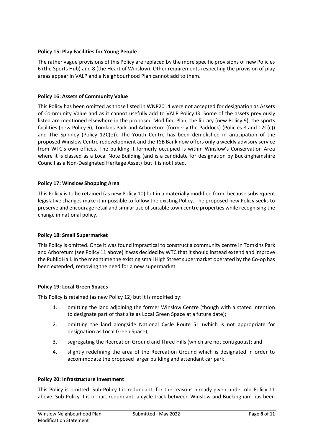#### **Policy 15: Play Facilities for Young People**

The rather vague provisions of this Policy are replaced by the more specific provisions of new Policies 6 (the Sports Hub) and 8 (the Heart of Winslow). Other requirements respecting the provision of play areas appear in VALP and a Neighbourhood Plan cannot add to them.

#### **Policy 16: Assets of Community Value**

This Policy has been omitted as those listed in WNP2014 were not accepted for designation as Assets of Community Value and as it cannot usefully add to VALP Policy I3. Some of the assets previously listed are mentioned elsewhere in the proposed Modified Plan: the library (new Policy 9), the sports facilities (new Policy 6), Tomkins Park and Arboretum (formerly the Paddock) (Policies 8 and 12C(c)) and The Spinney (Policy 12C(e)). The Youth Centre has been demolished in anticipation of the proposed Winslow Centre redevelopment and the TSB Bank now offers only a weekly advisory service from WTC's own offices. The building it formerly occupied is within Winslow's Conservation Area where it is classed as a Local Note Building (and is a candidate for designation by Buckinghamshire Council as a Non-Designated Heritage Asset) but it is not listed.

#### **Policy 17: Winslow Shopping Area**

This Policy is to be retained (as new Policy 10) but in a materially modified form, because subsequent legislative changes make it impossible to follow the existing Policy. The proposed new Policy seeks to preserve and encourage retail and similar use of suitable town centre properties while recognising the change in national policy.

#### **Policy 18: Small Supermarket**

This Policy is omitted. Once it was found impractical to construct a community centre in Tomkins Park and Arboretum (see Policy 11 above) it was decided by WTC that it should instead extend and improve the Public Hall. In the meantime the existing small High Street supermarket operated by the Co-op has been extended, removing the need for a new supermarket.

#### **Policy 19: Local Green Spaces**

This Policy is retained (as new Policy 12) but it is modified by:

- 1. omitting the land adjoining the former Winslow Centre (though with a stated intention to designate part of that site as Local Green Space at a future date);
- 2. omitting the land alongside National Cycle Route 51 (which is not appropriate for designation as Local Green Space);
- 3. segregating the Recreation Ground and Three Hills (which are not contiguous); and
- 4. slightly redefining the area of the Recreation Ground which is designated in order to accommodate the proposed larger building and attendant car park.

#### **Policy 20: Infrastructure Investment**

This Policy is omitted. Sub-Policy I is redundant, for the reasons already given under old Policy 11 above. Sub-Policy II is in part redundant: a cycle track between Winslow and Buckingham has been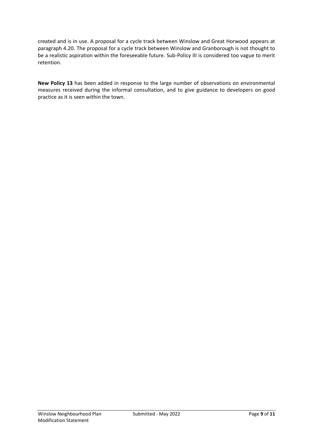created and is in use. A proposal for a cycle track between Winslow and Great Horwood appears at paragraph 4.20. The proposal for a cycle track between Winslow and Granborough is not thought to be a realistic aspiration within the foreseeable future. Sub-Policy III is considered too vague to merit retention.

**New Policy 13** has been added in response to the large number of observations on environmental measures received during the informal consultation, and to give guidance to developers on good practice as it is seen within the town.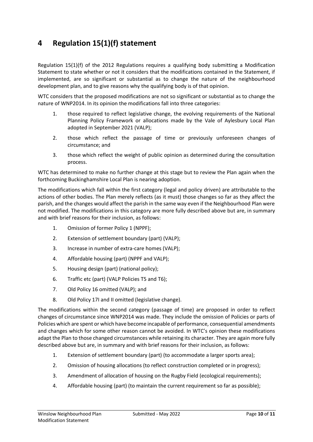## **4 Regulation 15(1)(f) statement**

Regulation 15(1)(f) of the 2012 Regulations requires a qualifying body submitting a Modification Statement to state whether or not it considers that the modifications contained in the Statement, if implemented, are so significant or substantial as to change the nature of the neighbourhood development plan, and to give reasons why the qualifying body is of that opinion.

WTC considers that the proposed modifications are not so significant or substantial as to change the nature of WNP2014. In its opinion the modifications fall into three categories:

- 1. those required to reflect legislative change, the evolving requirements of the National Planning Policy Framework or allocations made by the Vale of Aylesbury Local Plan adopted in September 2021 (VALP);
- 2. those which reflect the passage of time or previously unforeseen changes of circumstance; and
- 3. those which reflect the weight of public opinion as determined during the consultation process.

WTC has determined to make no further change at this stage but to review the Plan again when the forthcoming Buckinghamshire Local Plan is nearing adoption.

The modifications which fall within the first category (legal and policy driven) are attributable to the actions of other bodies. The Plan merely reflects (as it must) those changes so far as they affect the parish, and the changes would affect the parish in the same way even if the Neighbourhood Plan were not modified. The modifications in this category are more fully described above but are, in summary and with brief reasons for their inclusion, as follows:

- 1. Omission of former Policy 1 (NPPF);
- 2. Extension of settlement boundary (part) (VALP);
- 3. Increase in number of extra-care homes (VALP);
- 4. Affordable housing (part) (NPPF and VALP);
- 5. Housing design (part) (national policy);
- 6. Traffic etc (part) (VALP Policies T5 and T6);
- 7. Old Policy 16 omitted (VALP); and
- 8. Old Policy 17I and II omitted (legislative change).

The modifications within the second category (passage of time) are proposed in order to reflect changes of circumstance since WNP2014 was made. They include the omission of Policies or parts of Policies which are spent or which have become incapable of performance, consequential amendments and changes which for some other reason cannot be avoided. In WTC's opinion these modifications adapt the Plan to those changed circumstances while retaining its character. They are again more fully described above but are, in summary and with brief reasons for their inclusion, as follows:

- 1. Extension of settlement boundary (part) (to accommodate a larger sports area);
- 2. Omission of housing allocations (to reflect construction completed or in progress);
- 3. Amendment of allocation of housing on the Rugby Field (ecological requirements);
- 4. Affordable housing (part) (to maintain the current requirement so far as possible);